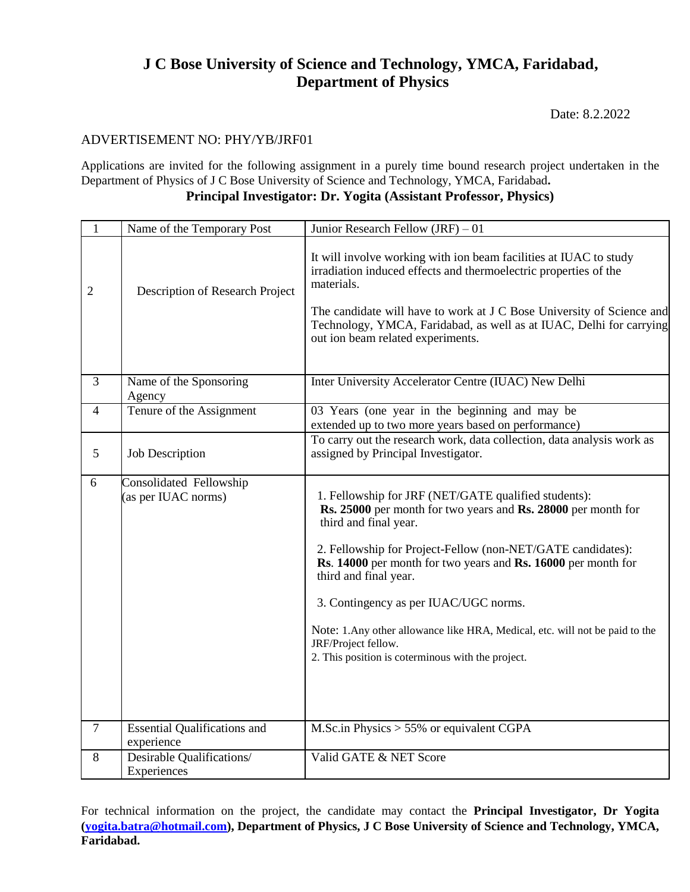# **J C Bose University of Science and Technology, YMCA, Faridabad, Department of Physics**

Date: 8.2.2022

## ADVERTISEMENT NO: PHY/YB/JRF01

Applications are invited for the following assignment in a purely time bound research project undertaken in the Department of Physics of J C Bose University of Science and Technology, YMCA, Faridabad**. Principal Investigator: Dr. Yogita (Assistant Professor, Physics)**

| $\mathbf{1}$   | Name of the Temporary Post                        | Junior Research Fellow $(JRF) - 01$                                                                                                                                                                                                                                                                                                                                                                                                                                                                          |
|----------------|---------------------------------------------------|--------------------------------------------------------------------------------------------------------------------------------------------------------------------------------------------------------------------------------------------------------------------------------------------------------------------------------------------------------------------------------------------------------------------------------------------------------------------------------------------------------------|
| $\overline{2}$ | Description of Research Project                   | It will involve working with ion beam facilities at IUAC to study<br>irradiation induced effects and thermoelectric properties of the<br>materials.<br>The candidate will have to work at J C Bose University of Science and<br>Technology, YMCA, Faridabad, as well as at IUAC, Delhi for carrying<br>out ion beam related experiments.                                                                                                                                                                     |
| $\mathfrak{Z}$ | Name of the Sponsoring<br>Agency                  | Inter University Accelerator Centre (IUAC) New Delhi                                                                                                                                                                                                                                                                                                                                                                                                                                                         |
| $\overline{4}$ | Tenure of the Assignment                          | 03 Years (one year in the beginning and may be<br>extended up to two more years based on performance)                                                                                                                                                                                                                                                                                                                                                                                                        |
| 5              | <b>Job Description</b>                            | To carry out the research work, data collection, data analysis work as<br>assigned by Principal Investigator.                                                                                                                                                                                                                                                                                                                                                                                                |
| 6              | Consolidated Fellowship<br>(as per IUAC norms)    | 1. Fellowship for JRF (NET/GATE qualified students):<br>Rs. 25000 per month for two years and Rs. 28000 per month for<br>third and final year.<br>2. Fellowship for Project-Fellow (non-NET/GATE candidates):<br>Rs. 14000 per month for two years and Rs. 16000 per month for<br>third and final year.<br>3. Contingency as per IUAC/UGC norms.<br>Note: 1. Any other allowance like HRA, Medical, etc. will not be paid to the<br>JRF/Project fellow.<br>2. This position is coterminous with the project. |
| $\tau$         | <b>Essential Qualifications and</b><br>experience | M.Sc.in Physics $> 55\%$ or equivalent CGPA                                                                                                                                                                                                                                                                                                                                                                                                                                                                  |
| 8              | Desirable Qualifications/<br>Experiences          | Valid GATE & NET Score                                                                                                                                                                                                                                                                                                                                                                                                                                                                                       |

For technical information on the project, the candidate may contact the **Principal Investigator, Dr Yogita [\(yogita.batra@hotmail.com\)](mailto:yogita.batra@hotmail.com), Department of Physics, J C Bose University of Science and Technology, YMCA, Faridabad.**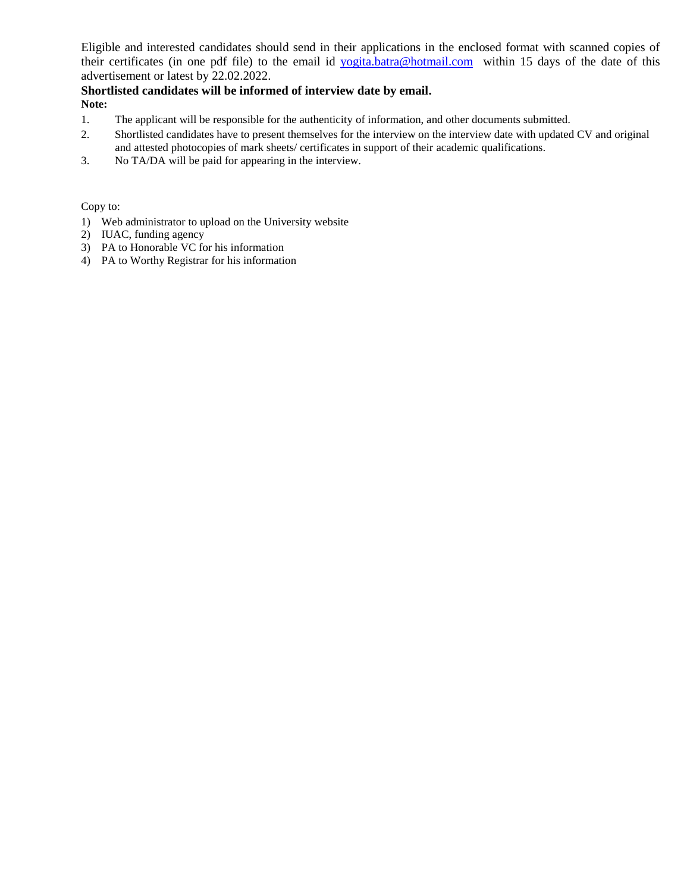Eligible and interested candidates should send in their applications in the enclosed format with scanned copies of their certificates (in one pdf file) to the email id [yogita.batra@hotmail.com](mailto:yogita.batra@hotmail.com) within 15 days of the date of this advertisement or latest by 22.02.2022.

#### **Shortlisted candidates will be informed of interview date by email. Note:**

- 1. The applicant will be responsible for the authenticity of information, and other documents submitted.
- 2. Shortlisted candidates have to present themselves for the interview on the interview date with updated CV and original and attested photocopies of mark sheets/ certificates in support of their academic qualifications.
- 3. No TA/DA will be paid for appearing in the interview.

Copy to:

- 1) Web administrator to upload on the University website
- 2) IUAC, funding agency
- 3) PA to Honorable VC for his information
- 4) PA to Worthy Registrar for his information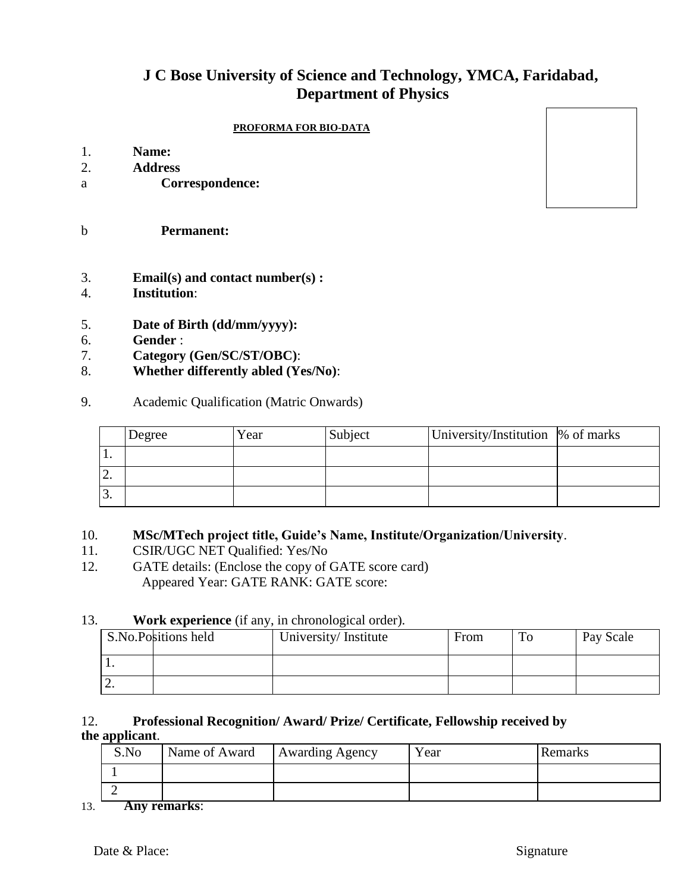# **J C Bose University of Science and Technology, YMCA, Faridabad, Department of Physics**

#### **PROFORMA FOR BIO-DATA**

- 1. **Name:**
- 2. **Address**
- a **Correspondence:**
- b **Permanent:**
- 3. **Email(s) and contact number(s) :**
- 4. **Institution**:
- 5. **Date of Birth (dd/mm/yyyy):**
- 6. **Gender** :
- 7. **Category (Gen/SC/ST/OBC)**:
- 8. **Whether differently abled (Yes/No)**:
- 9. Academic Qualification (Matric Onwards)

|           | Degree | Year | Subject | University/Institution  % of marks |  |
|-----------|--------|------|---------|------------------------------------|--|
| . .       |        |      |         |                                    |  |
| <u>L.</u> |        |      |         |                                    |  |
| ິ.        |        |      |         |                                    |  |

## 10. **MSc/MTech project title, Guide's Name, Institute/Organization/University**.

- 11. CSIR/UGC NET Qualified: Yes/No
- 12. GATE details: (Enclose the copy of GATE score card) Appeared Year: GATE RANK: GATE score:

### 13. **Work experience** (if any, in chronological order).

|          | <b>S.No.Positions held</b> | University/Institute | From | m | Pay Scale |
|----------|----------------------------|----------------------|------|---|-----------|
|          |                            |                      |      |   |           |
| <u>.</u> |                            |                      |      |   |           |

## 12. **Professional Recognition/ Award/ Prize/ Certificate, Fellowship received by the applicant**.

13. **Any remarks**: